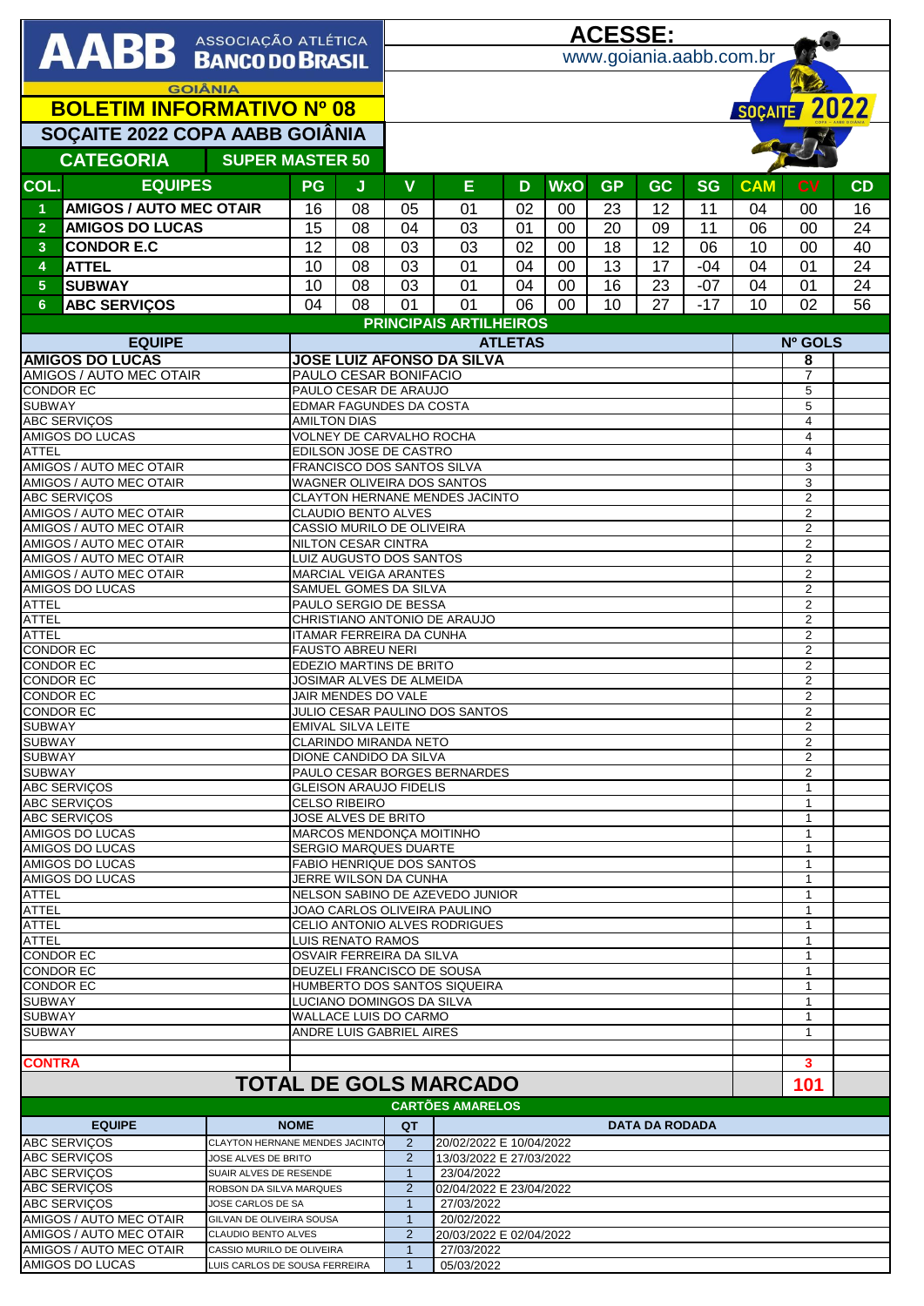|                                                                                                 |                                                    |                                                       |                                                                 | <b>ACESSE:</b>                                           |                                                    |                                |    |            |           |                       |                     |                                  |                                  |    |
|-------------------------------------------------------------------------------------------------|----------------------------------------------------|-------------------------------------------------------|-----------------------------------------------------------------|----------------------------------------------------------|----------------------------------------------------|--------------------------------|----|------------|-----------|-----------------------|---------------------|----------------------------------|----------------------------------|----|
| <b>AABB</b> ASSOCIAÇÃO ATLÉTICA                                                                 |                                                    |                                                       |                                                                 |                                                          | www.goiania.aabb.com.br                            |                                |    |            |           |                       |                     |                                  |                                  |    |
|                                                                                                 |                                                    |                                                       |                                                                 |                                                          |                                                    |                                |    |            |           |                       |                     |                                  |                                  |    |
| <b>GOIÂNIA</b>                                                                                  |                                                    |                                                       |                                                                 |                                                          |                                                    |                                |    |            |           |                       |                     |                                  |                                  |    |
| <b>BOLETIM INFORMATIVO Nº 08</b>                                                                |                                                    |                                                       |                                                                 |                                                          |                                                    |                                |    |            |           |                       |                     | SOÇAITE 2022                     |                                  |    |
|                                                                                                 | SOÇAITE 2022 COPA AABB GOIÂNIA                     |                                                       |                                                                 |                                                          |                                                    |                                |    |            |           |                       |                     |                                  |                                  |    |
|                                                                                                 | <b>CATEGORIA</b><br><b>SUPER MASTER 50</b>         |                                                       |                                                                 |                                                          |                                                    |                                |    |            |           |                       |                     |                                  |                                  |    |
| COL.                                                                                            | <b>EQUIPES</b>                                     |                                                       | <b>PG</b>                                                       | J                                                        | V                                                  | Е                              | D  | <b>WxO</b> | <b>GP</b> | <b>GC</b>             | <b>SG</b>           | <b>CAM</b>                       | <b>CV</b>                        | CD |
| $\blacktriangleleft$                                                                            | <b>AMIGOS / AUTO MEC OTAIR</b>                     |                                                       | 16                                                              | 08                                                       | 05                                                 | 01                             | 02 | $00\,$     | 23        | 12                    | 11                  | 04                               | 00                               | 16 |
| $\overline{2}$                                                                                  | <b>AMIGOS DO LUCAS</b>                             |                                                       | 15                                                              | 08                                                       | 04                                                 | 03                             | 01 | 00         | 20        | 09                    | 11                  | 06                               | 00                               | 24 |
| $\overline{\mathbf{3}}$                                                                         | <b>CONDOR E.C</b>                                  |                                                       | 12                                                              | 08                                                       | 03                                                 | 03                             | 02 | 00         | 18        | 12                    | 06                  | 10                               | 00                               | 40 |
| $\overline{4}$                                                                                  | <b>ATTEL</b>                                       |                                                       | 10                                                              | 08                                                       | 03                                                 | 01                             | 04 | 00         | 13        | 17                    | $-04$               | 04                               | 01                               | 24 |
| $\overline{5}$                                                                                  | <b>SUBWAY</b>                                      |                                                       | 10                                                              | 08                                                       | 03                                                 | 01                             | 04 | 00         | 16        | 23                    | $-07$               | 04                               | 01                               | 24 |
| $6\phantom{1}$                                                                                  | <b>ABC SERVIÇOS</b>                                |                                                       | 04                                                              | 08                                                       | 01                                                 | 01                             | 06 | 00         | 10        | 27                    | $-17$               | 10                               | 02                               | 56 |
|                                                                                                 |                                                    |                                                       |                                                                 |                                                          |                                                    | <b>PRINCIPAIS ARTILHEIROS</b>  |    |            |           |                       |                     |                                  |                                  |    |
| <b>EQUIPE</b>                                                                                   |                                                    |                                                       |                                                                 | <b>ATLETAS</b>                                           |                                                    |                                |    |            |           |                       |                     | Nº GOLS                          |                                  |    |
| <b>AMIGOS DO LUCAS</b>                                                                          |                                                    |                                                       |                                                                 | <b>JOSE LUIZ AFONSO DA SILVA</b>                         |                                                    |                                |    |            |           |                       |                     | 8                                |                                  |    |
| AMIGOS / AUTO MEC OTAIR<br><b>CONDOR EC</b>                                                     |                                                    |                                                       | PAULO CESAR BONIFACIO<br>PAULO CESAR DE ARAUJO                  |                                                          |                                                    |                                |    |            |           |                       |                     | $\overline{7}$<br>5              |                                  |    |
| <b>SUBWAY</b>                                                                                   |                                                    |                                                       |                                                                 |                                                          | <b>EDMAR FAGUNDES DA COSTA</b>                     |                                |    |            |           |                       |                     |                                  | 5                                |    |
|                                                                                                 | <b>ABC SERVIÇOS</b>                                |                                                       | <b>AMILTON DIAS</b>                                             |                                                          |                                                    |                                |    |            |           |                       |                     |                                  | $\overline{\mathbf{4}}$          |    |
| <b>ATTEL</b>                                                                                    | AMIGOS DO LUCAS                                    |                                                       |                                                                 |                                                          | VOLNEY DE CARVALHO ROCHA<br>EDILSON JOSE DE CASTRO |                                |    |            |           |                       |                     |                                  | 4<br>$\overline{\mathbf{4}}$     |    |
|                                                                                                 | AMIGOS / AUTO MEC OTAIR                            |                                                       |                                                                 |                                                          |                                                    | FRANCISCO DOS SANTOS SILVA     |    |            |           |                       |                     |                                  | 3                                |    |
|                                                                                                 | AMIGOS / AUTO MEC OTAIR                            |                                                       |                                                                 |                                                          |                                                    | WAGNER OLIVEIRA DOS SANTOS     |    |            |           |                       |                     |                                  | 3                                |    |
|                                                                                                 | <b>ABC SERVIÇOS</b><br>AMIGOS / AUTO MEC OTAIR     |                                                       |                                                                 |                                                          | <b>CLAUDIO BENTO ALVES</b>                         | CLAYTON HERNANE MENDES JACINTO |    |            |           |                       |                     |                                  | $\overline{2}$<br>$\overline{2}$ |    |
|                                                                                                 | AMIGOS / AUTO MEC OTAIR                            |                                                       |                                                                 |                                                          | CASSIO MURILO DE OLIVEIRA                          |                                |    |            |           |                       |                     |                                  | $\overline{2}$                   |    |
|                                                                                                 | AMIGOS / AUTO MEC OTAIR                            |                                                       | <b>NILTON CESAR CINTRA</b>                                      |                                                          |                                                    |                                |    |            |           |                       |                     | $\overline{2}$                   |                                  |    |
|                                                                                                 | AMIGOS / AUTO MEC OTAIR<br>AMIGOS / AUTO MEC OTAIR |                                                       | LUIZ AUGUSTO DOS SANTOS                                         |                                                          |                                                    |                                |    |            |           |                       |                     | $\overline{2}$                   |                                  |    |
|                                                                                                 | <b>AMIGOS DO LUCAS</b>                             | <b>MARCIAL VEIGA ARANTES</b><br>SAMUEL GOMES DA SILVA |                                                                 |                                                          |                                                    |                                |    |            |           |                       | 2<br>$\overline{2}$ |                                  |                                  |    |
| <b>ATTEL</b>                                                                                    |                                                    |                                                       | PAULO SERGIO DE BESSA                                           |                                                          |                                                    |                                |    |            |           |                       |                     | $\overline{2}$                   |                                  |    |
| <b>ATTEL</b>                                                                                    |                                                    |                                                       | CHRISTIANO ANTONIO DE ARAUJO<br><b>ITAMAR FERREIRA DA CUNHA</b> |                                                          |                                                    |                                |    |            |           |                       |                     | $\overline{2}$                   |                                  |    |
| <b>ATTEL</b><br><b>CONDOR EC</b>                                                                |                                                    |                                                       | <b>FAUSTO ABREU NERI</b>                                        |                                                          |                                                    |                                |    |            |           |                       |                     | $\overline{2}$<br>$\overline{2}$ |                                  |    |
| <b>CONDOR EC</b>                                                                                |                                                    |                                                       | EDEZIO MARTINS DE BRITO                                         |                                                          |                                                    |                                |    |            |           |                       |                     | $\overline{2}$                   |                                  |    |
| <b>CONDOR EC</b>                                                                                |                                                    |                                                       | JOSIMAR ALVES DE ALMEIDA                                        |                                                          |                                                    |                                |    |            |           |                       |                     | $\overline{2}$                   |                                  |    |
| <b>CONDOR EC</b><br><b>CONDOR EC</b>                                                            |                                                    |                                                       | JAIR MENDES DO VALE<br>JULIO CESAR PAULINO DOS SANTOS           |                                                          |                                                    |                                |    |            |           |                       |                     | $\overline{2}$<br>$\overline{2}$ |                                  |    |
| <b>SUBWAY</b>                                                                                   |                                                    |                                                       | <b>EMIVAL SILVA LEITE</b>                                       |                                                          |                                                    |                                |    |            |           |                       |                     | 2                                |                                  |    |
| <b>SUBWAY</b>                                                                                   |                                                    |                                                       | <b>CLARINDO MIRANDA NETO</b>                                    |                                                          |                                                    |                                |    |            |           |                       |                     | 2                                |                                  |    |
| <b>SUBWAY</b><br><b>SUBWAY</b>                                                                  |                                                    |                                                       | DIONE CANDIDO DA SILVA<br>PAULO CESAR BORGES BERNARDES          |                                                          |                                                    |                                |    |            |           |                       |                     | 2<br>$\overline{2}$              |                                  |    |
| ABC SERVIÇOS                                                                                    |                                                    |                                                       | <b>GLEISON ARAUJO FIDELIS</b>                                   |                                                          |                                                    |                                |    |            |           |                       |                     | $\mathbf{1}$                     |                                  |    |
| <b>ABC SERVIÇOS</b>                                                                             |                                                    |                                                       | <b>CELSO RIBEIRO</b>                                            |                                                          |                                                    |                                |    |            |           |                       |                     | $\mathbf{1}$                     |                                  |    |
| <b>ABC SERVICOS</b><br>AMIGOS DO LUCAS                                                          |                                                    |                                                       | JOSE ALVES DE BRITO<br><b>MARCOS MENDONCA MOITINHO</b>          |                                                          |                                                    |                                |    |            |           |                       |                     | 1<br>$\mathbf 1$                 |                                  |    |
| AMIGOS DO LUCAS                                                                                 |                                                    |                                                       | <b>SERGIO MARQUES DUARTE</b>                                    |                                                          |                                                    |                                |    |            |           |                       |                     | $\mathbf{1}$                     |                                  |    |
| AMIGOS DO LUCAS                                                                                 |                                                    |                                                       | <b>FABIO HENRIQUE DOS SANTOS</b>                                |                                                          |                                                    |                                |    |            |           |                       |                     | 1                                |                                  |    |
| <b>ATTEL</b>                                                                                    | AMIGOS DO LUCAS                                    |                                                       |                                                                 | JERRE WILSON DA CUNHA<br>NELSON SABINO DE AZEVEDO JUNIOR |                                                    |                                |    |            |           |                       |                     |                                  | 1<br>$\mathbf{1}$                |    |
| <b>ATTEL</b>                                                                                    |                                                    |                                                       | JOAO CARLOS OLIVEIRA PAULINO                                    |                                                          |                                                    |                                |    |            |           |                       |                     | $\mathbf{1}$                     |                                  |    |
|                                                                                                 | <b>ATTEL</b>                                       |                                                       |                                                                 | CELIO ANTONIO ALVES RODRIGUES                            |                                                    |                                |    |            |           |                       |                     |                                  | 1                                |    |
|                                                                                                 | <b>ATTEL</b><br><b>CONDOR EC</b>                   |                                                       |                                                                 | LUIS RENATO RAMOS<br>OSVAIR FERREIRA DA SILVA            |                                                    |                                |    |            |           |                       |                     |                                  | $\mathbf{1}$<br>-1               |    |
|                                                                                                 | <b>CONDOR EC</b>                                   |                                                       | DEUZELI FRANCISCO DE SOUSA                                      |                                                          |                                                    |                                |    |            |           |                       |                     | $\mathbf{1}$                     |                                  |    |
|                                                                                                 | <b>CONDOR EC</b>                                   |                                                       |                                                                 | HUMBERTO DOS SANTOS SIQUEIRA                             |                                                    |                                |    |            |           |                       |                     |                                  | $\mathbf{1}$                     |    |
| <b>SUBWAY</b><br><b>SUBWAY</b>                                                                  |                                                    |                                                       | LUCIANO DOMINGOS DA SILVA<br><b>WALLACE LUIS DO CARMO</b>       |                                                          |                                                    |                                |    |            |           |                       |                     | 1<br>$\mathbf{1}$                |                                  |    |
| <b>SUBWAY</b>                                                                                   |                                                    |                                                       |                                                                 | ANDRE LUIS GABRIEL AIRES                                 |                                                    |                                |    |            |           |                       |                     | $\mathbf{1}$                     |                                  |    |
|                                                                                                 |                                                    |                                                       |                                                                 |                                                          |                                                    |                                |    |            |           |                       |                     |                                  |                                  |    |
| <b>CONTRA</b>                                                                                   |                                                    |                                                       |                                                                 |                                                          |                                                    |                                |    |            |           |                       |                     |                                  | 3                                |    |
| <b>TOTAL DE GOLS MARCADO</b>                                                                    |                                                    |                                                       |                                                                 |                                                          |                                                    |                                |    |            |           |                       |                     |                                  | 101                              |    |
| <b>NOME</b>                                                                                     |                                                    |                                                       |                                                                 |                                                          | <b>CARTÕES AMARELOS</b>                            |                                |    |            |           |                       |                     |                                  |                                  |    |
| <b>EQUIPE</b><br><b>ABC SERVICOS</b><br>CLAYTON HERNANE MENDES JACINTO                          |                                                    |                                                       |                                                                 |                                                          | QT<br>2                                            | 20/02/2022 E 10/04/2022        |    |            |           | <b>DATA DA RODADA</b> |                     |                                  |                                  |    |
| ABC SERVIÇOS<br>JOSE ALVES DE BRITO                                                             |                                                    |                                                       |                                                                 |                                                          | $\overline{2}$                                     | 13/03/2022 E 27/03/2022        |    |            |           |                       |                     |                                  |                                  |    |
| <b>ABC SERVICOS</b><br>SUAIR ALVES DE RESENDE                                                   |                                                    |                                                       |                                                                 |                                                          | $\mathbf{1}$                                       | 23/04/2022                     |    |            |           |                       |                     |                                  |                                  |    |
| <b>ABC SERVIÇOS</b><br>ROBSON DA SILVA MARQUES                                                  |                                                    |                                                       |                                                                 |                                                          | $\overline{2}$<br>$\overline{1}$                   | 02/04/2022 E 23/04/2022        |    |            |           |                       |                     |                                  |                                  |    |
| <b>ABC SERVIÇOS</b><br>JOSE CARLOS DE SA<br>AMIGOS / AUTO MEC OTAIR<br>GILVAN DE OLIVEIRA SOUSA |                                                    |                                                       |                                                                 |                                                          | $\mathbf{1}$                                       | 27/03/2022<br>20/02/2022       |    |            |           |                       |                     |                                  |                                  |    |
| AMIGOS / AUTO MEC OTAIR<br><b>CLAUDIO BENTO ALVES</b>                                           |                                                    |                                                       |                                                                 |                                                          | $\overline{2}$                                     | 20/03/2022 E 02/04/2022        |    |            |           |                       |                     |                                  |                                  |    |
| AMIGOS / AUTO MEC OTAIR<br>CASSIO MURILO DE OLIVEIRA                                            |                                                    |                                                       |                                                                 |                                                          | $\overline{1}$                                     | 27/03/2022                     |    |            |           |                       |                     |                                  |                                  |    |
| AMIGOS DO LUCAS<br>LUIS CARLOS DE SOUSA FERREIRA                                                |                                                    |                                                       |                                                                 |                                                          | $\mathbf{1}$                                       | 05/03/2022                     |    |            |           |                       |                     |                                  |                                  |    |